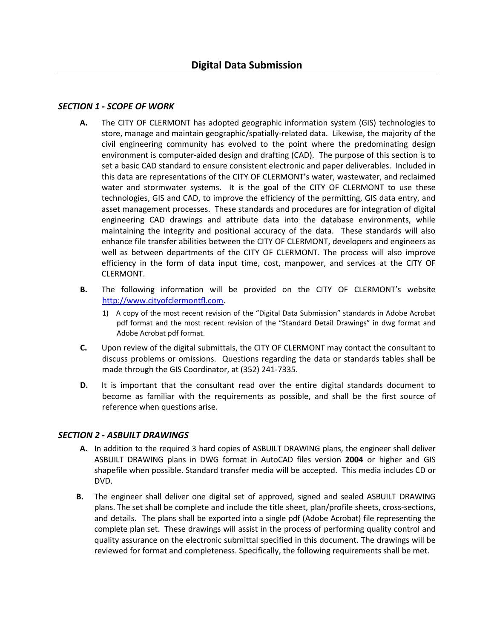# *SECTION 1 - SCOPE OF WORK*

- **A.** The CITY OF CLERMONT has adopted geographic information system (GIS) technologies to store, manage and maintain geographic/spatially-related data. Likewise, the majority of the civil engineering community has evolved to the point where the predominating design environment is computer-aided design and drafting (CAD). The purpose of this section is to set a basic CAD standard to ensure consistent electronic and paper deliverables. Included in this data are representations of the CITY OF CLERMONT's water, wastewater, and reclaimed water and stormwater systems. It is the goal of the CITY OF CLERMONT to use these technologies, GIS and CAD, to improve the efficiency of the permitting, GIS data entry, and asset management processes. These standards and procedures are for integration of digital engineering CAD drawings and attribute data into the database environments, while maintaining the integrity and positional accuracy of the data. These standards will also enhance file transfer abilities between the CITY OF CLERMONT, developers and engineers as well as between departments of the CITY OF CLERMONT. The process will also improve efficiency in the form of data input time, cost, manpower, and services at the CITY OF CLERMONT.
- **B.** The following information will be provided on the CITY OF CLERMONT's website [http://www.cityofclermontfl.com.](http://www.cityofclermontfl.com/)
	- 1) A copy of the most recent revision of the "Digital Data Submission" standards in Adobe Acrobat pdf format and the most recent revision of the "Standard Detail Drawings" in dwg format and Adobe Acrobat pdf format.
- **C.** Upon review of the digital submittals, the CITY OF CLERMONT may contact the consultant to discuss problems or omissions. Questions regarding the data or standards tables shall be made through the GIS Coordinator, at (352) 241-7335.
- **D.** It is important that the consultant read over the entire digital standards document to become as familiar with the requirements as possible, and shall be the first source of reference when questions arise.

#### *SECTION 2 - ASBUILT DRAWINGS*

- **A.** In addition to the required 3 hard copies of ASBUILT DRAWING plans, the engineer shall deliver ASBUILT DRAWING plans in DWG format in AutoCAD files version **2004** or higher and GIS shapefile when possible. Standard transfer media will be accepted. This media includes CD or DVD.
- **B.** The engineer shall deliver one digital set of approved, signed and sealed ASBUILT DRAWING plans. The set shall be complete and include the title sheet, plan/profile sheets, cross-sections, and details. The plans shall be exported into a single pdf (Adobe Acrobat) file representing the complete plan set. These drawings will assist in the process of performing quality control and quality assurance on the electronic submittal specified in this document. The drawings will be reviewed for format and completeness. Specifically, the following requirements shall be met.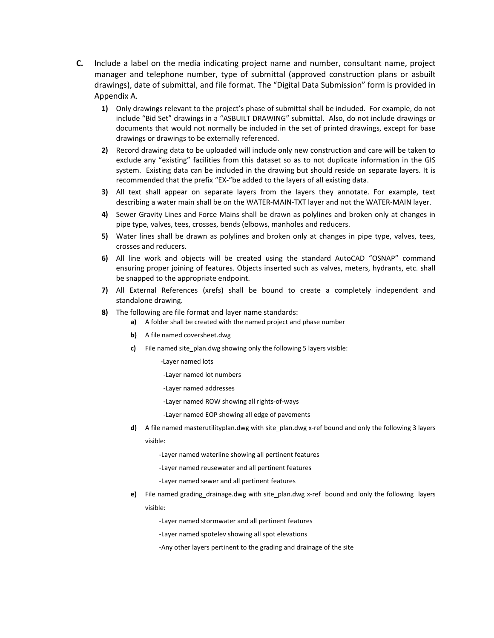- **C.** Include a label on the media indicating project name and number, consultant name, project manager and telephone number, type of submittal (approved construction plans or asbuilt drawings), date of submittal, and file format. The "Digital Data Submission" form is provided in Appendix A.
	- **1)** Only drawings relevant to the project's phase of submittal shall be included. For example, do not include "Bid Set" drawings in a "ASBUILT DRAWING" submittal. Also, do not include drawings or documents that would not normally be included in the set of printed drawings, except for base drawings or drawings to be externally referenced.
	- **2)** Record drawing data to be uploaded will include only new construction and care will be taken to exclude any "existing" facilities from this dataset so as to not duplicate information in the GIS system. Existing data can be included in the drawing but should reside on separate layers. It is recommended that the prefix "EX-"be added to the layers of all existing data.
	- **3)** All text shall appear on separate layers from the layers they annotate. For example, text describing a water main shall be on the WATER-MAIN-TXT layer and not the WATER-MAIN layer.
	- **4)** Sewer Gravity Lines and Force Mains shall be drawn as polylines and broken only at changes in pipe type, valves, tees, crosses, bends (elbows, manholes and reducers.
	- **5)** Water lines shall be drawn as polylines and broken only at changes in pipe type, valves, tees, crosses and reducers.
	- **6)** All line work and objects will be created using the standard AutoCAD "OSNAP" command ensuring proper joining of features. Objects inserted such as valves, meters, hydrants, etc. shall be snapped to the appropriate endpoint.
	- **7)** All External References (xrefs) shall be bound to create a completely independent and standalone drawing.
	- **8)** The following are file format and layer name standards:
		- **a)** A folder shall be created with the named project and phase number
		- **b)** A file named coversheet.dwg
		- **c)** File named site plan.dwg showing only the following 5 layers visible:
			- -Layer named lots
			- -Layer named lot numbers
			- -Layer named addresses
			- -Layer named ROW showing all rights-of-ways
			- -Layer named EOP showing all edge of pavements
		- **d)** A file named masterutilityplan.dwg with site plan.dwg x-ref bound and only the following 3 layers visible:
			- -Layer named waterline showing all pertinent features
			- -Layer named reusewater and all pertinent features
			- -Layer named sewer and all pertinent features
		- **e)** File named grading\_drainage.dwg with site\_plan.dwg x-ref bound and only the following layers visible:
			- -Layer named stormwater and all pertinent features
			- -Layer named spotelev showing all spot elevations
			- -Any other layers pertinent to the grading and drainage of the site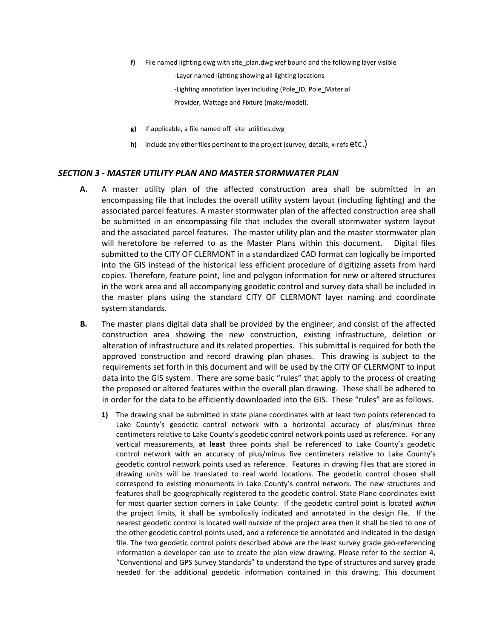**f)** File named lighting.dwg with site\_plan.dwg xref bound and the following layer visible

-Layer named lighting showing all lighting locations

-Lighting annotation layer including (Pole ID, Pole Material

Provider, Wattage and Fixture (make/model).

- **g)** If applicable, a file named off\_site\_utilities.dwg
- **h)** Include any other files pertinent to the project (survey, details, x-refs **etc.)**

#### *SECTION 3 - MASTER UTILITY PLAN AND MASTER STORMWATER PLAN*

- **A.** A master utility plan of the affected construction area shall be submitted in an encompassing file that includes the overall utility system layout (including lighting) and the associated parcel features. A master stormwater plan of the affected construction area shall be submitted in an encompassing file that includes the overall stormwater system layout and the associated parcel features. The master utility plan and the master stormwater plan will heretofore be referred to as the Master Plans within this document. Digital files submitted to the CITY OF CLERMONT in a standardized CAD format can logically be imported into the GIS instead of the historical less efficient procedure of digitizing assets from hard copies. Therefore, feature point, line and polygon information for new or altered structures in the work area and all accompanying geodetic control and survey data shall be included in the master plans using the standard CITY OF CLERMONT layer naming and coordinate system standards.
- **B.** The master plans digital data shall be provided by the engineer, and consist of the affected construction area showing the new construction, existing infrastructure, deletion or alteration of infrastructure and its related properties. This submittal is required for both the approved construction and record drawing plan phases. This drawing is subject to the requirements set forth in this document and will be used by the CITY OF CLERMONT to input data into the GIS system. There are some basic "rules" that apply to the process of creating the proposed or altered features within the overall plan drawing. These shall be adhered to in order for the data to be efficiently downloaded into the GIS. These "rules" are as follows.
	- **1)** The drawing shall be submitted in state plane coordinates with at least two points referenced to Lake County's geodetic control network with a horizontal accuracy of plus/minus three centimeters relative to Lake County's geodetic control network points used as reference. For any vertical measurements, **at least** three points shall be referenced to Lake County's geodetic control network with an accuracy of plus/minus five centimeters relative to Lake County's geodetic control network points used as reference. Features in drawing files that are stored in drawing units will be translated to real world locations. The geodetic control chosen shall correspond to existing monuments in Lake County's control network. The new structures and features shall be geographically registered to the geodetic control. State Plane coordinates exist for most quarter section corners in Lake County. If the geodetic control point is located *within* the project limits, it shall be symbolically indicated and annotated in the design file. If the nearest geodetic control is located well *outside* of the project area then it shall be tied to one of the other geodetic control points used, and a reference tie annotated and indicated in the design file. The two geodetic control points described above are the least survey grade geo-referencing information a developer can use to create the plan view drawing. Please refer to the section 4, "Conventional and GPS Survey Standards" to understand the type of structures and survey grade needed for the additional geodetic information contained in this drawing. This document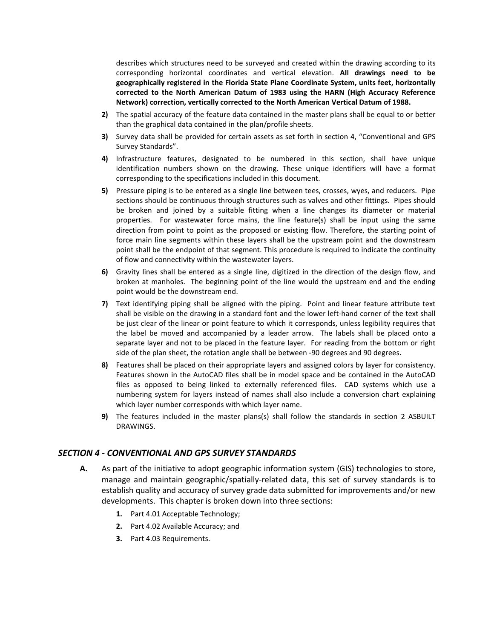describes which structures need to be surveyed and created within the drawing according to its corresponding horizontal coordinates and vertical elevation. **All drawings need to be geographically registered in the Florida State Plane Coordinate System, units feet, horizontally corrected to the North American Datum of 1983 using the HARN (High Accuracy Reference Network) correction, vertically corrected to the North American Vertical Datum of 1988.**

- **2)** The spatial accuracy of the feature data contained in the master plans shall be equal to or better than the graphical data contained in the plan/profile sheets.
- **3)** Survey data shall be provided for certain assets as set forth in section 4, "Conventional and GPS Survey Standards".
- **4)** Infrastructure features, designated to be numbered in this section, shall have unique identification numbers shown on the drawing. These unique identifiers will have a format corresponding to the specifications included in this document.
- **5)** Pressure piping is to be entered as a single line between tees, crosses, wyes, and reducers. Pipe sections should be continuous through structures such as valves and other fittings. Pipes should be broken and joined by a suitable fitting when a line changes its diameter or material properties. For wastewater force mains, the line feature(s) shall be input using the same direction from point to point as the proposed or existing flow. Therefore, the starting point of force main line segments within these layers shall be the upstream point and the downstream point shall be the endpoint of that segment. This procedure is required to indicate the continuity of flow and connectivity within the wastewater layers.
- **6)** Gravity lines shall be entered as a single line, digitized in the direction of the design flow, and broken at manholes. The beginning point of the line would the upstream end and the ending point would be the downstream end.
- **7)** Text identifying piping shall be aligned with the piping. Point and linear feature attribute text shall be visible on the drawing in a standard font and the lower left-hand corner of the text shall be just clear of the linear or point feature to which it corresponds, unless legibility requires that the label be moved and accompanied by a leader arrow. The labels shall be placed onto a separate layer and not to be placed in the feature layer. For reading from the bottom or right side of the plan sheet, the rotation angle shall be between -90 degrees and 90 degrees.
- **8)** Features shall be placed on their appropriate layers and assigned colors by layer for consistency. Features shown in the AutoCAD files shall be in model space and be contained in the AutoCAD files as opposed to being linked to externally referenced files. CAD systems which use a numbering system for layers instead of names shall also include a conversion chart explaining which layer number corresponds with which layer name.
- **9)** The features included in the master plans(s) shall follow the standards in section 2 ASBUILT DRAWINGS.

#### *SECTION 4 - CONVENTIONAL AND GPS SURVEY STANDARDS*

- **A.** As part of the initiative to adopt geographic information system (GIS) technologies to store, manage and maintain geographic/spatially-related data, this set of survey standards is to establish quality and accuracy of survey grade data submitted for improvements and/or new developments. This chapter is broken down into three sections:
	- **1.** Part 4.01 Acceptable Technology;
	- **2.** Part 4.02 Available Accuracy; and
	- **3.** Part 4.03 Requirements.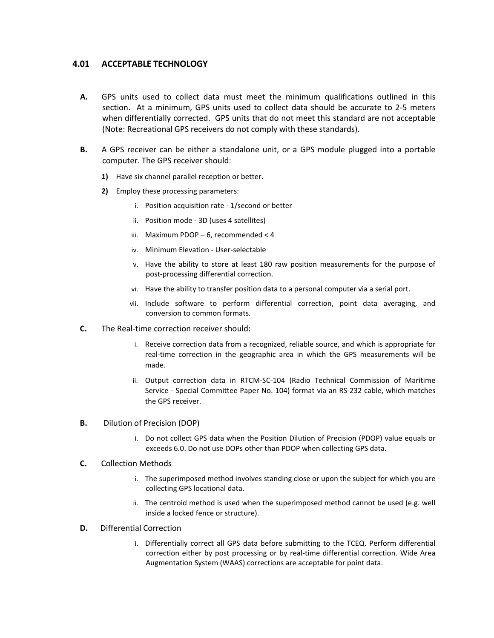## **4.01 ACCEPTABLE TECHNOLOGY**

- **A.** GPS units used to collect data must meet the minimum qualifications outlined in this section. At a minimum, GPS units used to collect data should be accurate to 2-5 meters when differentially corrected. GPS units that do not meet this standard are not acceptable (Note: Recreational GPS receivers do not comply with these standards).
- **B.** A GPS receiver can be either a standalone unit, or a GPS module plugged into a portable computer. The GPS receiver should:
	- **1)** Have six channel parallel reception or better.
	- **2)** Employ these processing parameters:
		- i. Position acquisition rate 1/second or better
		- ii. Position mode 3D (uses 4 satellites)
		- iii. Maximum PDOP 6, recommended < 4
		- iv. Minimum Elevation User-selectable
		- v. Have the ability to store at least 180 raw position measurements for the purpose of post-processing differential correction.
		- vi. Have the ability to transfer position data to a personal computer via a serial port.
		- vii. Include software to perform differential correction, point data averaging, and conversion to common formats.
- **C.** The Real-time correction receiver should:
	- i. Receive correction data from a recognized, reliable source, and which is appropriate for real-time correction in the geographic area in which the GPS measurements will be made.
	- ii. Output correction data in RTCM-SC-104 (Radio Technical Commission of Maritime Service - Special Committee Paper No. 104) format via an RS-232 cable, which matches the GPS receiver.
- **B.** Dilution of Precision (DOP)
	- i. Do not collect GPS data when the Position Dilution of Precision (PDOP) value equals or exceeds 6.0. Do not use DOPs other than PDOP when collecting GPS data.

#### **C.** Collection Methods

- i. The superimposed method involves standing close or upon the subject for which you are collecting GPS locational data.
- ii. The centroid method is used when the superimposed method cannot be used (e.g. well inside a locked fence or structure).

#### **D.** Differential Correction

i. Differentially correct all GPS data before submitting to the TCEQ. Perform differential correction either by post processing or by real-time differential correction. Wide Area Augmentation System (WAAS) corrections are acceptable for point data.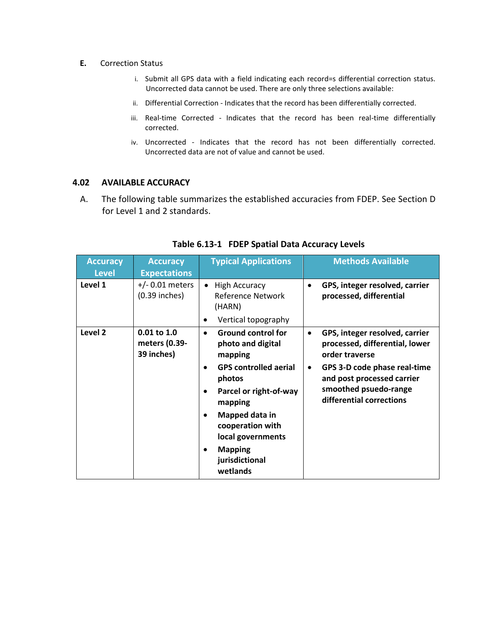- **E.** Correction Status
	- i. Submit all GPS data with a field indicating each record=s differential correction status. Uncorrected data cannot be used. There are only three selections available:
	- ii. Differential Correction Indicates that the record has been differentially corrected.
	- iii. Real-time Corrected Indicates that the record has been real-time differentially corrected.
	- iv. Uncorrected Indicates that the record has not been differentially corrected. Uncorrected data are not of value and cannot be used.

# **4.02 AVAILABLE ACCURACY**

A. The following table summarizes the established accuracies from FDEP. See Section D for Level 1 and 2 standards.

| <b>Accuracy</b><br><b>Level</b> | <b>Accuracy</b><br><b>Expectations</b>         | <b>Typical Applications</b>                                                                                         |                        | <b>Methods Available</b>                                                                                           |
|---------------------------------|------------------------------------------------|---------------------------------------------------------------------------------------------------------------------|------------------------|--------------------------------------------------------------------------------------------------------------------|
| Level 1                         | $+/- 0.01$ meters<br>$(0.39$ inches)           | <b>High Accuracy</b><br>$\bullet$<br><b>Reference Network</b><br>(HARN)<br>Vertical topography<br>٠                 |                        | GPS, integer resolved, carrier<br>processed, differential                                                          |
| Level 2                         | $0.01$ to $1.0$<br>meters (0.39-<br>39 inches) | <b>Ground control for</b><br>$\bullet$<br>photo and digital<br>mapping<br><b>GPS controlled aerial</b><br>$\bullet$ | $\bullet$<br>$\bullet$ | GPS, integer resolved, carrier<br>processed, differential, lower<br>order traverse<br>GPS 3-D code phase real-time |
|                                 |                                                | photos<br>Parcel or right-of-way<br>mapping                                                                         |                        | and post processed carrier<br>smoothed psuedo-range<br>differential corrections                                    |
|                                 |                                                | Mapped data in<br>٠<br>cooperation with<br>local governments                                                        |                        |                                                                                                                    |
|                                 |                                                | <b>Mapping</b><br>$\bullet$<br>jurisdictional<br>wetlands                                                           |                        |                                                                                                                    |

# **Table 6.13-1 FDEP Spatial Data Accuracy Levels**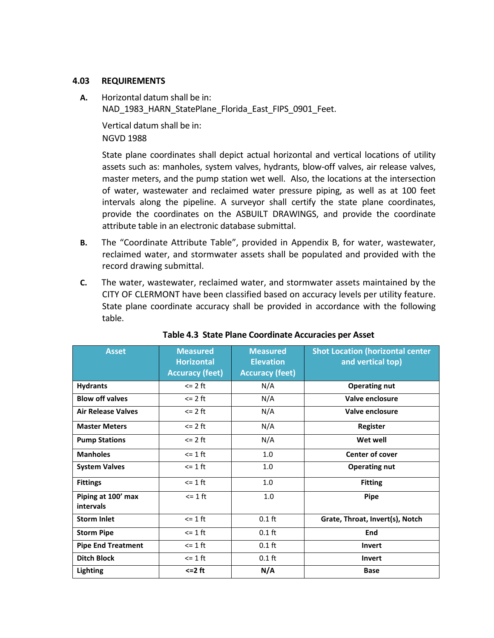# **4.03 REQUIREMENTS**

**A.** Horizontal datum shall be in: NAD 1983 HARN StatePlane Florida East FIPS 0901 Feet.

Vertical datum shall be in: NGVD 1988

State plane coordinates shall depict actual horizontal and vertical locations of utility assets such as: manholes, system valves, hydrants, blow-off valves, air release valves, master meters, and the pump station wet well. Also, the locations at the intersection of water, wastewater and reclaimed water pressure piping, as well as at 100 feet intervals along the pipeline. A surveyor shall certify the state plane coordinates, provide the coordinates on the ASBUILT DRAWINGS, and provide the coordinate attribute table in an electronic database submittal.

- **B.** The "Coordinate Attribute Table", provided in Appendix B, for water, wastewater, reclaimed water, and stormwater assets shall be populated and provided with the record drawing submittal.
- **C.** The water, wastewater, reclaimed water, and stormwater assets maintained by the CITY OF CLERMONT have been classified based on accuracy levels per utility feature. State plane coordinate accuracy shall be provided in accordance with the following table.

| <b>Asset</b>                    | <b>Measured</b><br><b>Horizontal</b> | <b>Measured</b><br><b>Elevation</b> | <b>Shot Location (horizontal center</b><br>and vertical top) |
|---------------------------------|--------------------------------------|-------------------------------------|--------------------------------------------------------------|
|                                 | <b>Accuracy (feet)</b>               | <b>Accuracy (feet)</b>              |                                                              |
| <b>Hydrants</b>                 | $\epsilon$ 2 ft                      | N/A                                 | <b>Operating nut</b>                                         |
| <b>Blow off valves</b>          | $\epsilon$ 2 ft                      | N/A                                 | Valve enclosure                                              |
| <b>Air Release Valves</b>       | $\epsilon$ 2 ft                      | N/A                                 | Valve enclosure                                              |
| <b>Master Meters</b>            | $\epsilon$ 2 ft                      | N/A                                 | Register                                                     |
| <b>Pump Stations</b>            | $\epsilon$ 2 ft                      | N/A                                 | Wet well                                                     |
| <b>Manholes</b>                 | $\epsilon$ = 1 ft                    | 1.0                                 | <b>Center of cover</b>                                       |
| <b>System Valves</b>            | $\epsilon$ = 1 ft                    | 1.0                                 | <b>Operating nut</b>                                         |
| <b>Fittings</b>                 | $\epsilon$ = 1 ft                    | 1.0                                 | <b>Fitting</b>                                               |
| Piping at 100' max<br>intervals | $\epsilon$ = 1 ft                    | 1.0                                 | <b>Pipe</b>                                                  |
| <b>Storm Inlet</b>              | $\leq 1$ ft                          | $0.1$ ft                            | Grate, Throat, Invert(s), Notch                              |
| <b>Storm Pipe</b>               | $\leq 1$ ft                          | $0.1$ ft                            | End                                                          |
| <b>Pipe End Treatment</b>       | $\epsilon$ = 1 ft                    | $0.1$ ft                            | <b>Invert</b>                                                |
| <b>Ditch Block</b>              | $\epsilon$ = 1 ft                    | $0.1$ ft                            | <b>Invert</b>                                                |
| <b>Lighting</b>                 | $\leq$ 2 ft                          | N/A                                 | <b>Base</b>                                                  |

**Table 4.3 State Plane Coordinate Accuracies per Asset**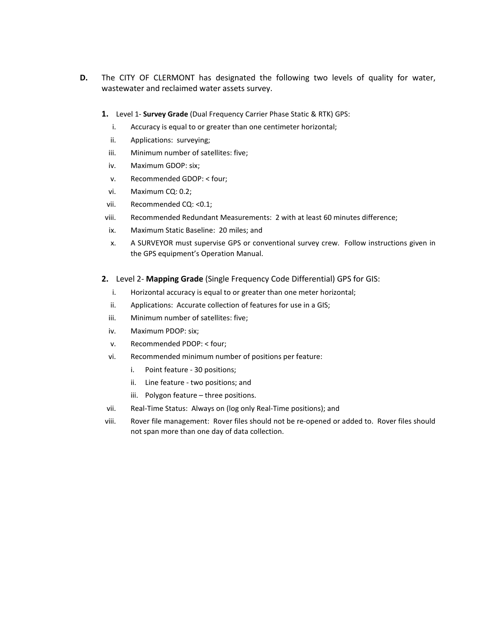- **D.** The CITY OF CLERMONT has designated the following two levels of quality for water, wastewater and reclaimed water assets survey.
	- **1.** Level 1- **Survey Grade** (Dual Frequency Carrier Phase Static & RTK) GPS:
		- i. Accuracy is equal to or greater than one centimeter horizontal;
		- ii. Applications: surveying;
		- iii. Minimum number of satellites: five;
		- iv. Maximum GDOP: six;
		- v. Recommended GDOP: < four;
		- vi. Maximum CQ: 0.2;
	- vii. Recommended CQ: <0.1;
	- viii. Recommended Redundant Measurements: 2 with at least 60 minutes difference;
	- ix. Maximum Static Baseline: 20 miles; and
	- x. A SURVEYOR must supervise GPS or conventional survey crew. Follow instructions given in the GPS equipment's Operation Manual.
	- **2.** Level 2- **Mapping Grade** (Single Frequency Code Differential) GPS for GIS:
		- i. Horizontal accuracy is equal to or greater than one meter horizontal;
		- ii. Applications: Accurate collection of features for use in a GIS;
		- iii. Minimum number of satellites: five;
		- iv. Maximum PDOP: six;
		- v. Recommended PDOP: < four;
		- vi. Recommended minimum number of positions per feature:
			- i. Point feature 30 positions;
			- ii. Line feature two positions; and
			- iii. Polygon feature three positions.
	- vii. Real-Time Status: Always on (log only Real-Time positions); and
	- viii. Rover file management: Rover files should not be re-opened or added to. Rover files should not span more than one day of data collection.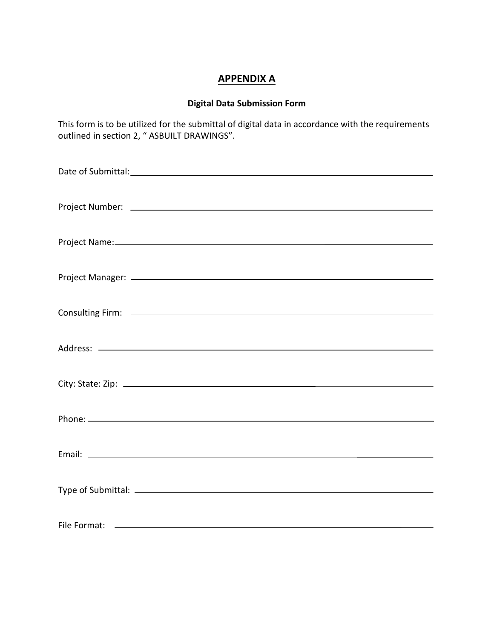# **APPENDIX A**

# **Digital Data Submission Form**

This form is to be utilized for the submittal of digital data in accordance with the requirements outlined in section 2, " ASBUILT DRAWINGS".

| Date of Submittal: University of Submittal Contract of Submittal Contract of Submittal Contract of Submittal Contract of Submittal Contract of Submittal Contract of Submittal Contract of Submittal Contract of Submittal Con |
|--------------------------------------------------------------------------------------------------------------------------------------------------------------------------------------------------------------------------------|
|                                                                                                                                                                                                                                |
|                                                                                                                                                                                                                                |
|                                                                                                                                                                                                                                |
|                                                                                                                                                                                                                                |
|                                                                                                                                                                                                                                |
|                                                                                                                                                                                                                                |
|                                                                                                                                                                                                                                |
|                                                                                                                                                                                                                                |
|                                                                                                                                                                                                                                |
|                                                                                                                                                                                                                                |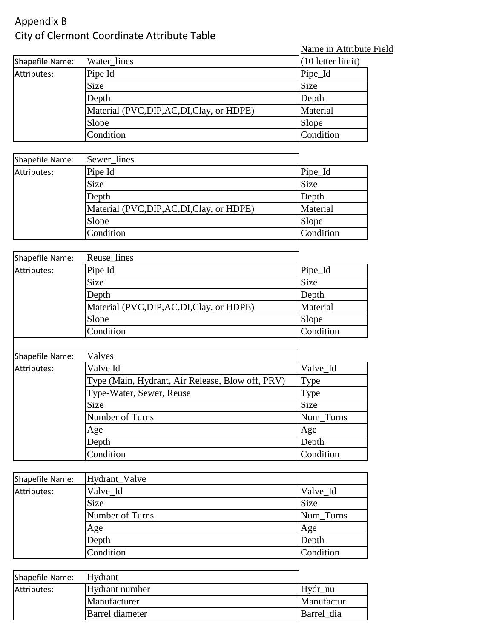# Appendix B City of Clermont Coordinate Attribute Table

Name in Attribute Field

| Shapefile Name: | Water lines                            | $(10$ letter limit) |
|-----------------|----------------------------------------|---------------------|
| Attributes:     | Pipe Id                                | Pipe_Id             |
|                 | <b>Size</b>                            | Size                |
|                 | Depth                                  | Depth               |
|                 | Material (PVC,DIP,AC,DI,Clay, or HDPE) | Material            |
|                 | Slope                                  | Slope               |
|                 | Condition                              | Condition           |

| Shapefile Name: | Sewer lines                            |             |
|-----------------|----------------------------------------|-------------|
| Attributes:     | Pipe Id                                | Pipe_Id     |
|                 | <b>Size</b>                            | <b>Size</b> |
|                 | Depth                                  | Depth       |
|                 | Material (PVC,DIP,AC,DI,Clay, or HDPE) | Material    |
|                 | Slope                                  | Slope       |
|                 | Condition                              | Condition   |

| Shapefile Name: | Reuse_lines                            |             |
|-----------------|----------------------------------------|-------------|
| Attributes:     | Pipe Id                                | Pipe_Id     |
|                 | Size                                   | <b>Size</b> |
|                 | Depth                                  | Depth       |
|                 | Material (PVC,DIP,AC,DI,Clay, or HDPE) | Material    |
|                 | Slope                                  | Slope       |
|                 | Condition                              | Condition   |

| Shapefile Name: | Valves                                           |           |
|-----------------|--------------------------------------------------|-----------|
| Attributes:     | Valve Id                                         | Valve_Id  |
|                 | Type (Main, Hydrant, Air Release, Blow off, PRV) | Type      |
|                 | Type-Water, Sewer, Reuse                         | Type      |
|                 | Size                                             | Size      |
|                 | Number of Turns                                  | Num_Turns |
|                 | Age                                              | Age       |
|                 | Depth                                            | Depth     |
|                 | Condition                                        | Condition |

| Shapefile Name: | Hydrant_Valve   |             |
|-----------------|-----------------|-------------|
| Attributes:     | Valve_Id        | Valve_Id    |
|                 | <b>Size</b>     | <b>Size</b> |
|                 | Number of Turns | Num_Turns   |
|                 | Age             | Age         |
|                 | Depth           | Depth       |
|                 | Condition       | Condition   |

| Shapefile Name: | Hydrant         |            |
|-----------------|-----------------|------------|
| Attributes:     | Hydrant number  | Hydr nu    |
|                 | Manufacturer    | Manufactur |
|                 | Barrel diameter | Barrel dia |